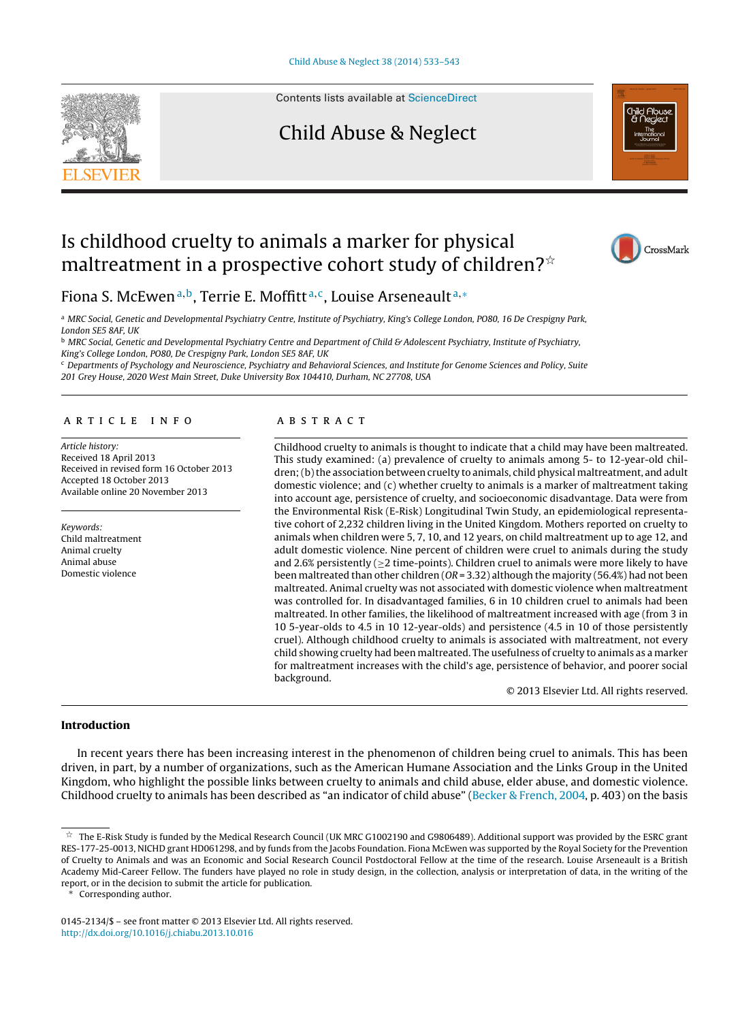

Contents lists available at [ScienceDirect](http://www.sciencedirect.com/science/journal/01452134)

## Child Abuse & Neglect



# Is childhood cruelty to animals a marker for physical maltreatment in a prospective cohort study of children? $^{\scriptscriptstyle \star}$



Fiona S. McEwen<sup>a,b</sup>, Terrie E. Moffitt<sup>a,c</sup>, Louise Arseneault<sup>a,∗</sup>

<sup>a</sup> MRC Social, Genetic and Developmental Psychiatry Centre, Institute of Psychiatry, King's College London, PO80, 16 De Crespigny Park, London SE5 8AF, UK

**b** MRC Social, Genetic and Developmental Psychiatry Centre and Department of Child & Adolescent Psychiatry, Institute of Psychiatry, King's College London, PO80, De Crespigny Park, London SE5 8AF, UK

<sup>c</sup> Departments of Psychology and Neuroscience, Psychiatry and Behavioral Sciences, and Institute for Genome Sciences and Policy, Suite 201 Grey House, 2020 West Main Street, Duke University Box 104410, Durham, NC 27708, USA

#### article info

Article history: Received 18 April 2013 Received in revised form 16 October 2013 Accepted 18 October 2013 Available online 20 November 2013

Keywords: Child maltreatment Animal cruelty Animal abuse Domestic violence

## **ABSTRACT**

Childhood cruelty to animals is thought to indicate that a child may have been maltreated. This study examined: (a) prevalence of cruelty to animals among 5- to 12-year-old children; (b) the association between cruelty to animals, child physical maltreatment, and adult domestic violence; and (c) whether cruelty to animals is a marker of maltreatment taking into account age, persistence of cruelty, and socioeconomic disadvantage. Data were from the Environmental Risk (E-Risk) Longitudinal Twin Study, an epidemiological representative cohort of 2,232 children living in the United Kingdom. Mothers reported on cruelty to animals when children were 5, 7, 10, and 12 years, on child maltreatment up to age 12, and adult domestic violence. Nine percent of children were cruel to animals during the study and 2.6% persistently ( $\geq$ 2 time-points). Children cruel to animals were more likely to have been maltreated than other children  $(OR = 3.32)$  although the majority  $(56.4%)$  had not been maltreated. Animal cruelty was not associated with domestic violence when maltreatment was controlled for. In disadvantaged families, 6 in 10 children cruel to animals had been maltreated. In other families, the likelihood of maltreatment increased with age (from 3 in 10 5-year-olds to 4.5 in 10 12-year-olds) and persistence (4.5 in 10 of those persistently cruel). Although childhood cruelty to animals is associated with maltreatment, not every child showing cruelty had been maltreated. The usefulness of cruelty to animals as a marker for maltreatment increases with the child's age, persistence of behavior, and poorer social background.

© 2013 Elsevier Ltd. All rights reserved.

## **Introduction**

In recent years there has been increasing interest in the phenomenon of children being cruel to animals. This has been driven, in part, by a number of organizations, such as the American Humane Association and the Links Group in the United Kingdom, who highlight the possible links between cruelty to animals and child abuse, elder abuse, and domestic violence. Childhood cruelty to animals has been described as "an indicator of child abuse" ([Becker & French, 2004, p](#page-9-0). 403) on the basis

Corresponding author.

 $\frac{1}{2}$  The E-Risk Study is funded by the Medical Research Council (UK MRC G1002190 and G9806489). Additional support was provided by the ESRC grant RES-177-25-0013, NICHD grant HD061298, and by funds from the Jacobs Foundation. Fiona McEwen was supported by the Royal Society for the Prevention of Cruelty to Animals and was an Economic and Social Research Council Postdoctoral Fellow at the time of the research. Louise Arseneault is a British Academy Mid-Career Fellow. The funders have played no role in study design, in the collection, analysis or interpretation of data, in the writing of the report, or in the decision to submit the article for publication.

<sup>0145-2134/\$ –</sup> see front matter © 2013 Elsevier Ltd. All rights reserved. [http://dx.doi.org/10.1016/j.chiabu.2013.10.016](dx.doi.org/10.1016/j.chiabu.2013.10.016)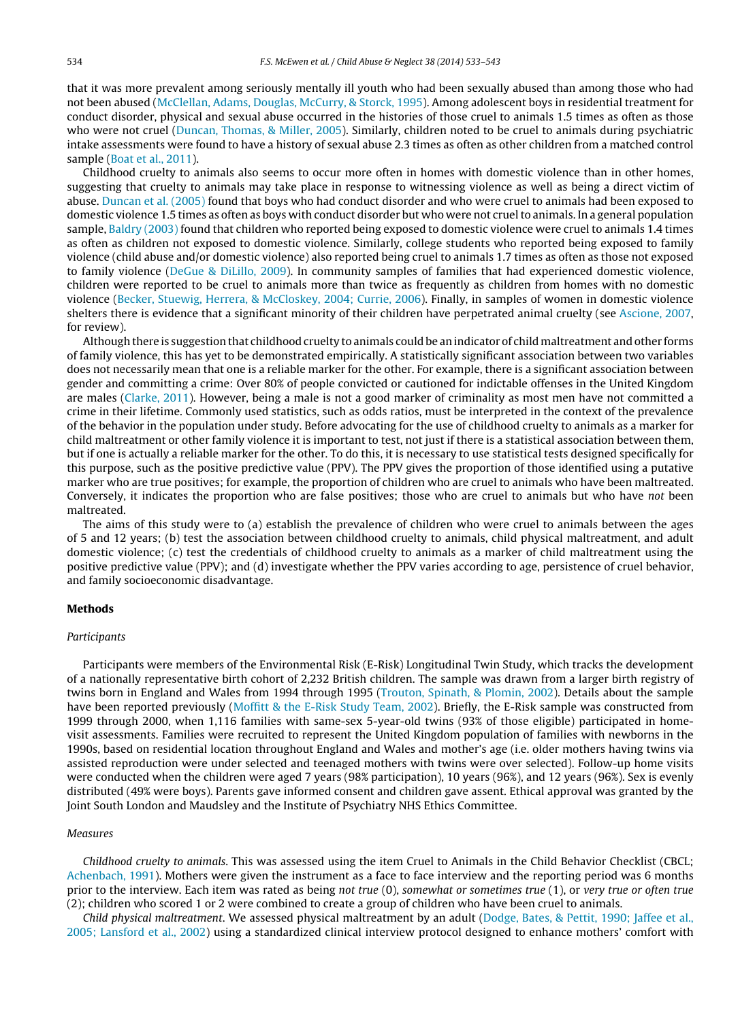that it was more prevalent among seriously mentally ill youth who had been sexually abused than among those who had not been abused [\(McClellan, Adams, Douglas, McCurry, & Storck, 1995\).](#page-9-0) Among adolescent boys in residential treatment for conduct disorder, physical and sexual abuse occurred in the histories of those cruel to animals 1.5 times as often as those who were not cruel ([Duncan, Thomas, & Miller, 2005\).](#page-9-0) Similarly, children noted to be cruel to animals during psychiatric intake assessments were found to have a history of sexual abuse 2.3 times as often as other children from a matched control sample ([Boat et al., 2011\).](#page-9-0)

Childhood cruelty to animals also seems to occur more often in homes with domestic violence than in other homes, suggesting that cruelty to animals may take place in response to witnessing violence as well as being a direct victim of abuse. [Duncan et al. \(2005\)](#page-9-0) found that boys who had conduct disorder and who were cruel to animals had been exposed to domestic violence 1.5 times as often as boys with conduct disorder but who were not cruel to animals. In a general population sample, [Baldry \(2003\)](#page-9-0) found that children who reported being exposed to domestic violence were cruel to animals 1.4 times as often as children not exposed to domestic violence. Similarly, college students who reported being exposed to family violence (child abuse and/or domestic violence) also reported being cruel to animals 1.7 times as often as those not exposed to family violence ([DeGue & DiLillo, 2009\).](#page-9-0) In community samples of families that had experienced domestic violence, children were reported to be cruel to animals more than twice as frequently as children from homes with no domestic violence ([Becker, Stuewig, Herrera, & McCloskey, 2004; Currie, 2006\).](#page-9-0) Finally, in samples of women in domestic violence shelters there is evidence that a significant minority of their children have perpetrated animal cruelty (see [Ascione, 2007,](#page-9-0) for review).

Although there is suggestion that childhood cruelty to animals could be an indicator of child maltreatment and other forms of family violence, this has yet to be demonstrated empirically. A statistically significant association between two variables does not necessarily mean that one is a reliable marker for the other. For example, there is a significant association between gender and committing a crime: Over 80% of people convicted or cautioned for indictable offenses in the United Kingdom are males [\(Clarke, 2011\).](#page-9-0) However, being a male is not a good marker of criminality as most men have not committed a crime in their lifetime. Commonly used statistics, such as odds ratios, must be interpreted in the context of the prevalence of the behavior in the population under study. Before advocating for the use of childhood cruelty to animals as a marker for child maltreatment or other family violence it is important to test, not just if there is a statistical association between them, but if one is actually a reliable marker for the other. To do this, it is necessary to use statistical tests designed specifically for this purpose, such as the positive predictive value (PPV). The PPV gives the proportion of those identified using a putative marker who are true positives; for example, the proportion of children who are cruel to animals who have been maltreated. Conversely, it indicates the proportion who are false positives; those who are cruel to animals but who have not been maltreated.

The aims of this study were to (a) establish the prevalence of children who were cruel to animals between the ages of 5 and 12 years; (b) test the association between childhood cruelty to animals, child physical maltreatment, and adult domestic violence; (c) test the credentials of childhood cruelty to animals as a marker of child maltreatment using the positive predictive value (PPV); and (d) investigate whether the PPV varies according to age, persistence of cruel behavior, and family socioeconomic disadvantage.

## **Methods**

#### Participants

Participants were members of the Environmental Risk (E-Risk) Longitudinal Twin Study, which tracks the development of a nationally representative birth cohort of 2,232 British children. The sample was drawn from a larger birth registry of twins born in England and Wales from 1994 through 1995 ([Trouton, Spinath, & Plomin, 2002\).](#page-10-0) Details about the sample have been reported previously [\(Moffitt & the E-Risk Study Team, 2002\).](#page-9-0) Briefly, the E-Risk sample was constructed from 1999 through 2000, when 1,116 families with same-sex 5-year-old twins (93% of those eligible) participated in homevisit assessments. Families were recruited to represent the United Kingdom population of families with newborns in the 1990s, based on residential location throughout England and Wales and mother's age (i.e. older mothers having twins via assisted reproduction were under selected and teenaged mothers with twins were over selected). Follow-up home visits were conducted when the children were aged 7 years (98% participation), 10 years (96%), and 12 years (96%). Sex is evenly distributed (49% were boys). Parents gave informed consent and children gave assent. Ethical approval was granted by the Joint South London and Maudsley and the Institute of Psychiatry NHS Ethics Committee.

#### Measures

Childhood cruelty to animals. This was assessed using the item Cruel to Animals in the Child Behavior Checklist (CBCL; [Achenbach, 1991\).](#page-9-0) Mothers were given the instrument as a face to face interview and the reporting period was 6 months prior to the interview. Each item was rated as being not true  $(0)$ , somewhat or sometimes true  $(1)$ , or very true or often true (2); children who scored 1 or 2 were combined to create a group of children who have been cruel to animals.

Child physical maltreatment. We assessed physical maltreatment by an adult [\(Dodge, Bates, & Pettit, 1990; Jaffee et al.,](#page-9-0) [2005; Lansford et al., 2002\)](#page-9-0) using a standardized clinical interview protocol designed to enhance mothers' comfort with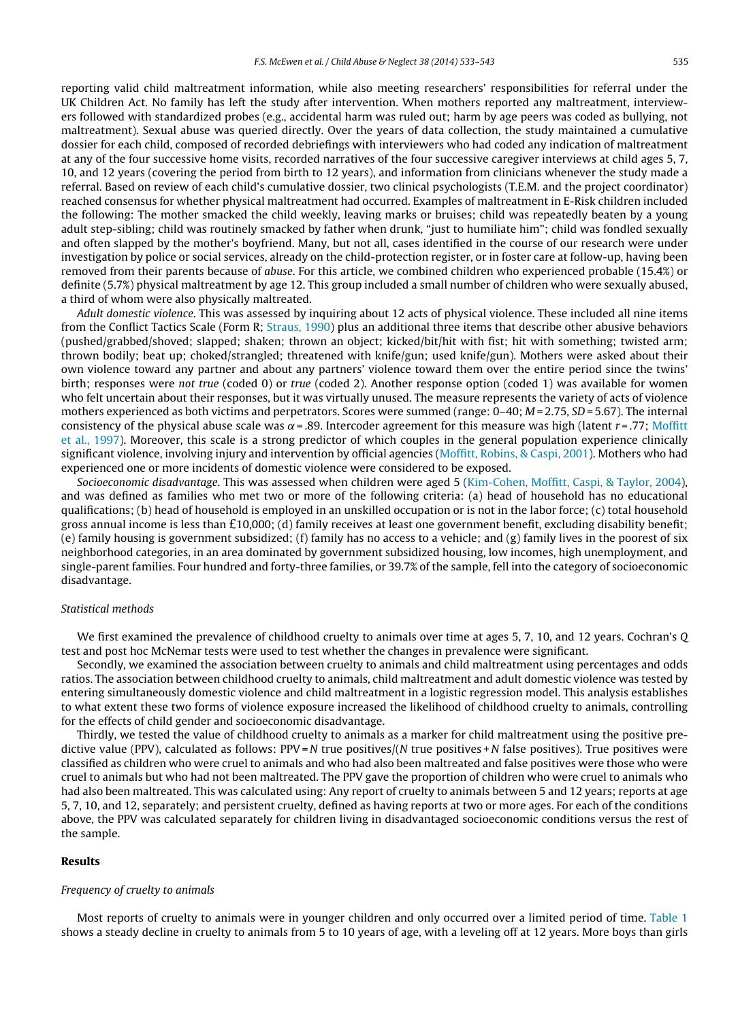reporting valid child maltreatment information, while also meeting researchers' responsibilities for referral under the UK Children Act. No family has left the study after intervention. When mothers reported any maltreatment, interviewers followed with standardized probes (e.g., accidental harm was ruled out; harm by age peers was coded as bullying, not maltreatment). Sexual abuse was queried directly. Over the years of data collection, the study maintained a cumulative dossier for each child, composed of recorded debriefings with interviewers who had coded any indication of maltreatment at any of the four successive home visits, recorded narratives of the four successive caregiver interviews at child ages 5, 7, 10, and 12 years (covering the period from birth to 12 years), and information from clinicians whenever the study made a referral. Based on review of each child's cumulative dossier, two clinical psychologists (T.E.M. and the project coordinator) reached consensus for whether physical maltreatment had occurred. Examples of maltreatment in E-Risk children included the following: The mother smacked the child weekly, leaving marks or bruises; child was repeatedly beaten by a young adult step-sibling; child was routinely smacked by father when drunk, "just to humiliate him"; child was fondled sexually and often slapped by the mother's boyfriend. Many, but not all, cases identified in the course of our research were under investigation by police or social services, already on the child-protection register, or in foster care at follow-up, having been removed from their parents because of abuse. For this article, we combined children who experienced probable (15.4%) or definite (5.7%) physical maltreatment by age 12. This group included a small number of children who were sexually abused, a third of whom were also physically maltreated.

Adult domestic violence. This was assessed by inquiring about 12 acts of physical violence. These included all nine items from the Conflict Tactics Scale (Form R; [Straus, 1990\)](#page-10-0) plus an additional three items that describe other abusive behaviors (pushed/grabbed/shoved; slapped; shaken; thrown an object; kicked/bit/hit with fist; hit with something; twisted arm; thrown bodily; beat up; choked/strangled; threatened with knife/gun; used knife/gun). Mothers were asked about their own violence toward any partner and about any partners' violence toward them over the entire period since the twins' birth; responses were not true (coded 0) or true (coded 2). Another response option (coded 1) was available for women who felt uncertain about their responses, but it was virtually unused. The measure represents the variety of acts of violence mothers experienced as both victims and perpetrators. Scores were summed (range:  $0-40$ ;  $M = 2.75$ ,  $SD = 5.67$ ). The internal consistency of the physical abuse scale was  $\alpha$  = .89. Intercoder agreement for this measure was high (latent  $r = .77$ ; [Moffitt](#page-9-0) [et al., 1997\).](#page-9-0) Moreover, this scale is a strong predictor of which couples in the general population experience clinically significant violence, involving injury and intervention by official agencies ([Moffitt, Robins, & Caspi, 2001\).](#page-9-0) Mothers who had experienced one or more incidents of domestic violence were considered to be exposed.

Socioeconomic disadvantage. This was assessed when children were aged 5 [\(Kim-Cohen, Moffitt, Caspi, & Taylor, 2004\),](#page-9-0) and was defined as families who met two or more of the following criteria: (a) head of household has no educational qualifications; (b) head of household is employed in an unskilled occupation or is not in the labor force; (c) total household gross annual income is less than £10,000; (d) family receives at least one government benefit, excluding disability benefit; (e) family housing is government subsidized; (f) family has no access to a vehicle; and  $(g)$  family lives in the poorest of six neighborhood categories, in an area dominated by government subsidized housing, low incomes, high unemployment, and single-parent families. Four hundred and forty-three families, or 39.7% of the sample, fell into the category of socioeconomic disadvantage.

## Statistical methods

We first examined the prevalence of childhood cruelty to animals over time at ages 5, 7, 10, and 12 years. Cochran's Q test and post hoc McNemar tests were used to test whether the changes in prevalence were significant.

Secondly, we examined the association between cruelty to animals and child maltreatment using percentages and odds ratios. The association between childhood cruelty to animals, child maltreatment and adult domestic violence was tested by entering simultaneously domestic violence and child maltreatment in a logistic regression model. This analysis establishes to what extent these two forms of violence exposure increased the likelihood of childhood cruelty to animals, controlling for the effects of child gender and socioeconomic disadvantage.

Thirdly, we tested the value of childhood cruelty to animals as a marker for child maltreatment using the positive predictive value (PPV), calculated as follows: PPV = N true positives/(N true positives + N false positives). True positives were classified as children who were cruel to animals and who had also been maltreated and false positives were those who were cruel to animals but who had not been maltreated. The PPV gave the proportion of children who were cruel to animals who had also been maltreated. This was calculated using: Any report of cruelty to animals between 5 and 12 years; reports at age 5, 7, 10, and 12, separately; and persistent cruelty, defined as having reports at two or more ages. For each of the conditions above, the PPV was calculated separately for children living in disadvantaged socioeconomic conditions versus the rest of the sample.

## **Results**

## Frequency of cruelty to animals

Most reports of cruelty to animals were in younger children and only occurred over a limited period of time. [Table 1](#page-3-0) shows a steady decline in cruelty to animals from 5 to 10 years of age, with a leveling off at 12 years. More boys than girls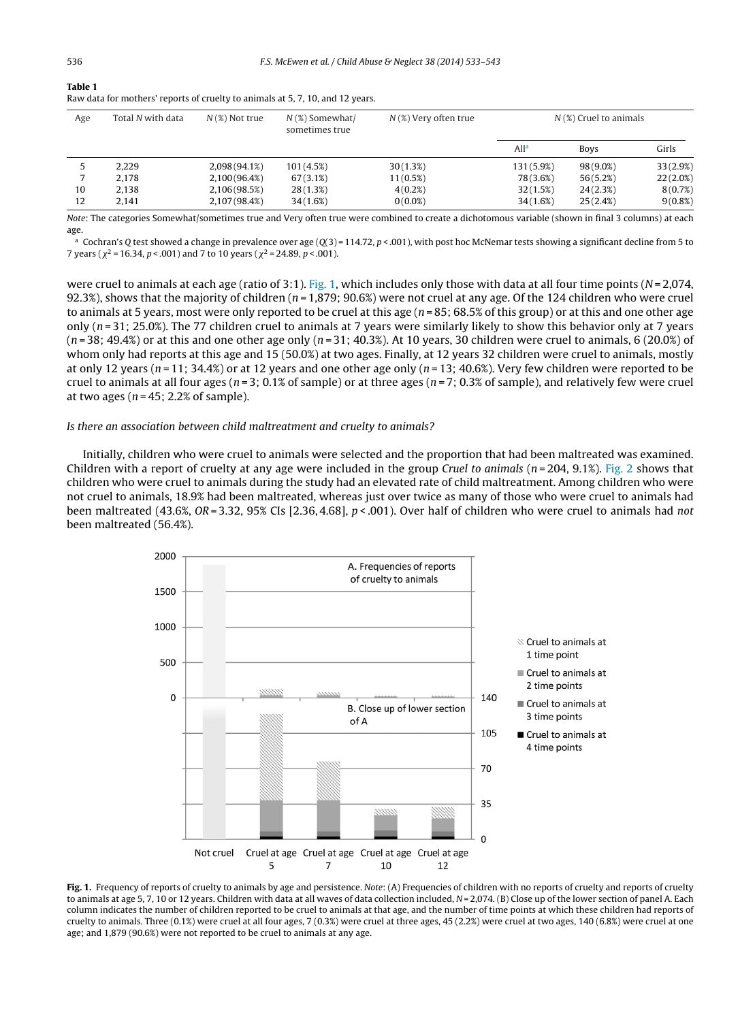<span id="page-3-0"></span>

| Raw data for mothers' reports of cruelty to animals at 5, 7, 10, and 12 years. |  |  |  |  |
|--------------------------------------------------------------------------------|--|--|--|--|
|--------------------------------------------------------------------------------|--|--|--|--|

| Age | Total N with data | $N$ (%) Not true | $N$ (%) Somewhat/<br>sometimes true | $N$ (%) Very often true | $N$ (%) Cruel to animals |             |          |
|-----|-------------------|------------------|-------------------------------------|-------------------------|--------------------------|-------------|----------|
|     |                   |                  |                                     |                         | All <sup>a</sup>         | <b>Boys</b> | Girls    |
|     | 2.229             | 2,098 (94.1%)    | 101(4.5%)                           | 30(1.3%)                | 131(5.9%)                | 98(9.0%)    | 33(2.9%) |
|     | 2.178             | 2,100(96.4%)     | 67(3.1%)                            | 11(0.5%)                | 78(3.6%)                 | 56(5.2%)    | 22(2.0%) |
| 10  | 2,138             | 2,106(98.5%)     | 28(1.3%)                            | 4(0.2%)                 | 32(1.5%)                 | 24(2.3%)    | 8(0.7%)  |
| 12  | 2.141             | 2,107(98.4%)     | 34(1.6%)                            | $0(0.0\%)$              | 34(1.6%)                 | 25(2.4%)    | 9(0.8%)  |

Note: The categories Somewhat/sometimes true and Very often true were combined to create a dichotomous variable (shown in final 3 columns) at each age.

 $^a$  Cochran's Q test showed a change in prevalence over age (Q(3) = 114.72, p < .001), with post hoc McNemar tests showing a significant decline from 5 to 7 years ( $\chi^2$  = 16.34, p < .001) and 7 to 10 years ( $\chi^2$  = 24.89, p < .001).

were cruel to animals at each age (ratio of 3:1). Fig. 1, which includes only those with data at all four time points ( $N = 2,074$ , 92.3%), shows that the majority of children ( $n = 1,879$ ; 90.6%) were not cruel at any age. Of the 124 children who were cruel to animals at 5 years, most were only reported to be cruel at this age  $(n = 85; 68.5\%)$  of this group) or at this and one other age only ( $n = 31$ ; 25.0%). The 77 children cruel to animals at 7 years were similarly likely to show this behavior only at 7 years  $(n=38: 49.4\%)$  or at this and one other age only  $(n=31: 40.3\%)$ . At 10 years, 30 children were cruel to animals, 6 (20.0%) of whom only had reports at this age and 15 (50.0%) at two ages. Finally, at 12 years 32 children were cruel to animals, mostly at only 12 years ( $n = 11$ ; 34.4%) or at 12 years and one other age only ( $n = 13$ ; 40.6%). Very few children were reported to be cruel to animals at all four ages ( $n=3$ ; 0.1% of sample) or at three ages ( $n=7$ ; 0.3% of sample), and relatively few were cruel at two ages ( $n = 45$ ; 2.2% of sample).

#### Is there an association between child maltreatment and cruelty to animals?

Initially, children who were cruel to animals were selected and the proportion that had been maltreated was examined. Children with a report of cruelty at any age were included in the group Cruel to animals  $(n=204, 9.1%)$ . [Fig. 2](#page-4-0) shows that children who were cruel to animals during the study had an elevated rate of child maltreatment. Among children who were not cruel to animals, 18.9% had been maltreated, whereas just over twice as many of those who were cruel to animals had been maltreated (43.6%,  $OR = 3.32$ , 95% CIs [2.36, 4.68],  $p < .001$ ). Over half of children who were cruel to animals had not been maltreated (56.4%).



Fig. 1. Frequency of reports of cruelty to animals by age and persistence. Note: (A) Frequencies of children with no reports of cruelty and reports of cruelty to animals at age 5, 7, 10 or 12 years. Children with data at all waves of data collection included, N=2,074. (B) Close up of the lower section of panel A. Each column indicates the number of children reported to be cruel to animals at that age, and the number of time points at which these children had reports of cruelty to animals. Three (0.1%) were cruel at all four ages, 7 (0.3%) were cruel at three ages, 45 (2.2%) were cruel at two ages, 140 (6.8%) were cruel at one age; and 1,879 (90.6%) were not reported to be cruel to animals at any age.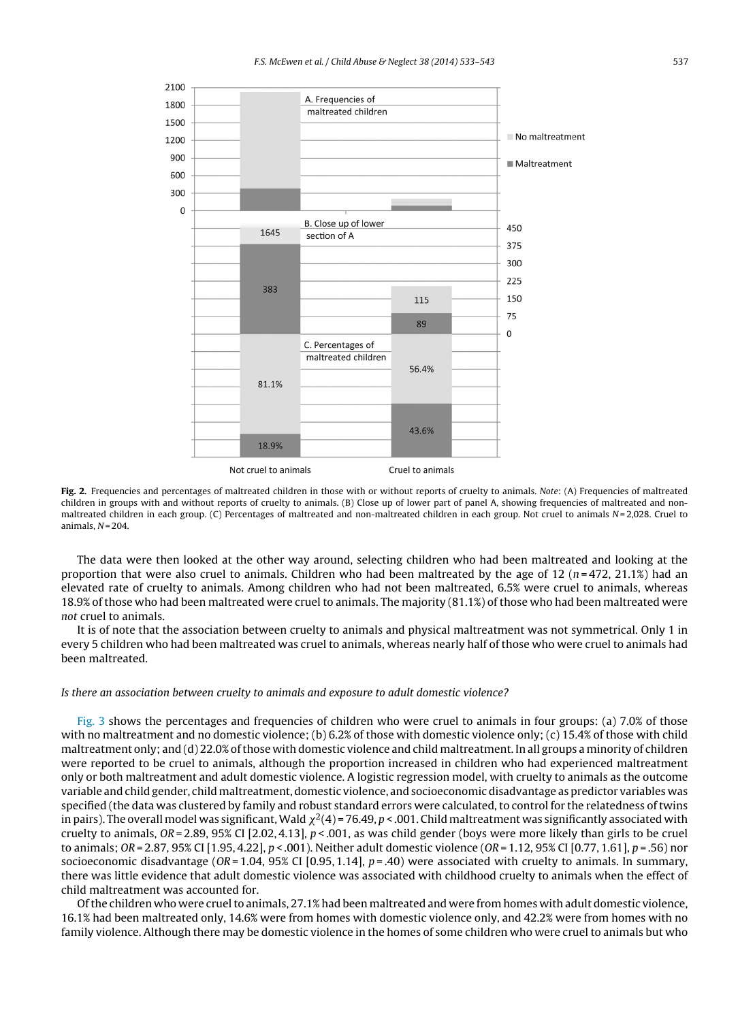<span id="page-4-0"></span>

Fig. 2. Frequencies and percentages of maltreated children in those with or without reports of cruelty to animals. Note: (A) Frequencies of maltreated children in groups with and without reports of cruelty to animals. (B) Close up of lower part of panel A, showing frequencies of maltreated and nonmaltreated children in each group. (C) Percentages of maltreated and non-maltreated children in each group. Not cruel to animals  $N=2,028$ . Cruel to animals,  $N = 204$ .

The data were then looked at the other way around, selecting children who had been maltreated and looking at the proportion that were also cruel to animals. Children who had been maltreated by the age of 12 ( $n = 472$ , 21.1%) had an elevated rate of cruelty to animals. Among children who had not been maltreated, 6.5% were cruel to animals, whereas 18.9% of those who had been maltreated were cruel to animals. The majority (81.1%) of those who had been maltreated were not cruel to animals.

It is of note that the association between cruelty to animals and physical maltreatment was not symmetrical. Only 1 in every 5 children who had been maltreated was cruel to animals, whereas nearly half of those who were cruel to animals had been maltreated.

#### Is there an association between cruelty to animals and exposure to adult domestic violence?

[Fig. 3](#page-5-0) shows the percentages and frequencies of children who were cruel to animals in four groups: (a) 7.0% of those with no maltreatment and no domestic violence; (b) 6.2% of those with domestic violence only; (c) 15.4% of those with child maltreatment only; and (d) 22.0% of those with domestic violence and child maltreatment. In all groups a minority of children were reported to be cruel to animals, although the proportion increased in children who had experienced maltreatment only or both maltreatment and adult domestic violence. A logistic regression model, with cruelty to animals as the outcome variable and child gender, childmaltreatment, domestic violence, and socioeconomic disadvantage as predictor variables was specified (the data was clustered by family and robust standard errors were calculated, to control for the relatedness of twins in pairs). The overall model was significant, Wald  $\chi^2(4)$  = 76.49, p < .001. Child maltreatment was significantly associated with cruelty to animals,  $OR = 2.89$ ,  $95\%$  CI [2.02, 4.13],  $p < .001$ , as was child gender (boys were more likely than girls to be cruel to animals;  $OR = 2.87$ ,  $95\%$  CI [1.95, 4.22],  $p < .001$ ). Neither adult domestic violence ( $OR = 1.12$ ,  $95\%$  CI [0.77, 1.61],  $p = .56$ ) nor socioeconomic disadvantage (OR = 1.04, 95% CI [0.95, 1.14],  $p = .40$ ) were associated with cruelty to animals. In summary, there was little evidence that adult domestic violence was associated with childhood cruelty to animals when the effect of child maltreatment was accounted for.

Of the children who were cruel to animals, 27.1% had been maltreated and were from homes with adult domestic violence, 16.1% had been maltreated only, 14.6% were from homes with domestic violence only, and 42.2% were from homes with no family violence. Although there may be domestic violence in the homes of some children who were cruel to animals but who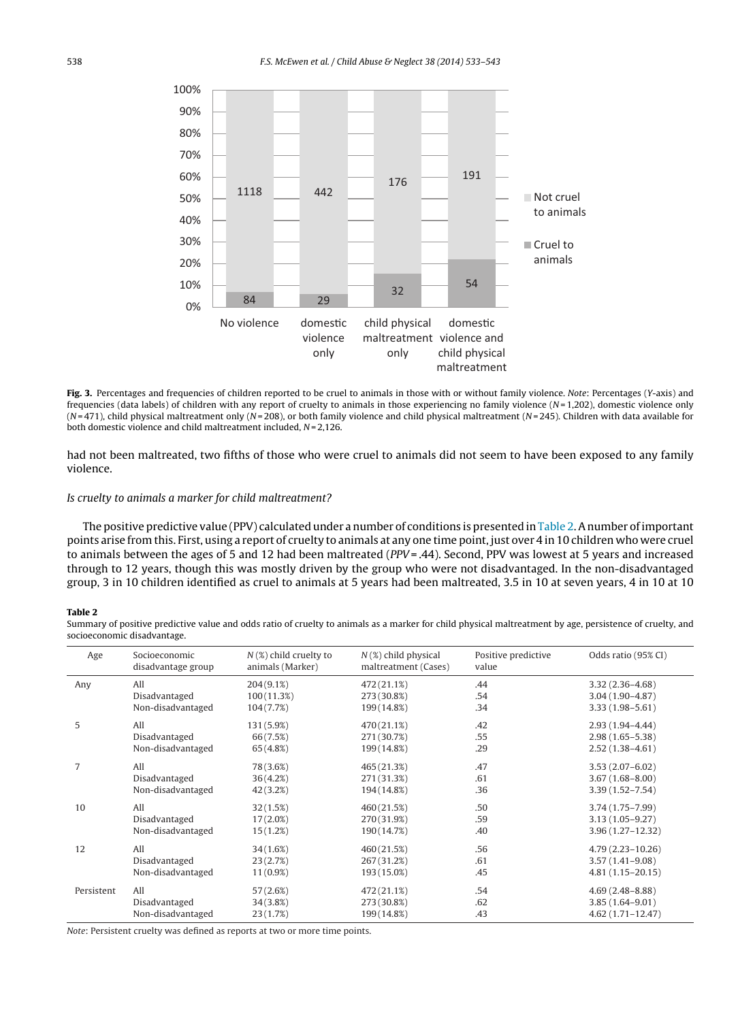<span id="page-5-0"></span>

Fig. 3. Percentages and frequencies of children reported to be cruel to animals in those with or without family violence. Note: Percentages (Y-axis) and frequencies (data labels) of children with any report of cruelty to animals in those experiencing no family violence  $(N=1,202)$ , domestic violence only  $(N=471)$ , child physical maltreatment only  $(N=208)$ , or both family violence and child physical maltreatment  $(N=245)$ . Children with data available for both domestic violence and child maltreatment included,  $N = 2,126$ .

had not been maltreated, two fifths of those who were cruel to animals did not seem to have been exposed to any family violence.

#### Is cruelty to animals a marker for child maltreatment?

The positive predictive value (PPV) calculated under a number of conditions is presented in Table 2. A number of important points arise from this. First, using a report of cruelty to animals at any one time point, just over 4 in 10 children who were cruel to animals between the ages of 5 and 12 had been maltreated (PPV = .44). Second, PPV was lowest at 5 years and increased through to 12 years, though this was mostly driven by the group who were not disadvantaged. In the non-disadvantaged group, 3 in 10 children identified as cruel to animals at 5 years had been maltreated, 3.5 in 10 at seven years, 4 in 10 at 10

#### **Table 2**

Summary of positive predictive value and odds ratio of cruelty to animals as a marker for child physical maltreatment by age, persistence of cruelty, and socioeconomic disadvantage.

| Age            | Socioeconomic<br>disadvantage group | $N$ (%) child cruelty to<br>animals (Marker) | $N$ (%) child physical<br>maltreatment (Cases) | Positive predictive<br>value | Odds ratio (95% CI)  |
|----------------|-------------------------------------|----------------------------------------------|------------------------------------------------|------------------------------|----------------------|
| Any            | All                                 | 204(9.1%)                                    | 472 (21.1%)                                    | .44                          | $3.32(2.36 - 4.68)$  |
|                | Disadvantaged                       | 100(11.3%)                                   | 273 (30.8%)                                    | .54                          | $3.04(1.90 - 4.87)$  |
|                | Non-disadvantaged                   | 104(7.7%)                                    | 199 (14.8%)                                    | .34                          | $3.33(1.98 - 5.61)$  |
| 5              | All                                 | 131(5.9%)                                    | 470(21.1%)                                     | .42                          | $2.93(1.94 - 4.44)$  |
|                | Disadvantaged                       | 66(7.5%)                                     | 271 (30.7%)                                    | .55                          | $2.98(1.65 - 5.38)$  |
|                | Non-disadvantaged                   | 65 (4.8%)                                    | 199 (14.8%)                                    | .29                          | $2.52(1.38 - 4.61)$  |
| $\overline{7}$ | All                                 | 78(3.6%)                                     | 465 (21.3%)                                    | .47                          | $3.53(2.07 - 6.02)$  |
|                | Disadvantaged                       | 36(4.2%)                                     | 271 (31.3%)                                    | .61                          | $3.67(1.68 - 8.00)$  |
|                | Non-disadvantaged                   | 42(3.2%)                                     | 194 (14.8%)                                    | .36                          | $3.39(1.52 - 7.54)$  |
| 10             | All                                 | 32(1.5%)                                     | 460(21.5%)                                     | .50                          | $3.74(1.75 - 7.99)$  |
|                | Disadvantaged                       | 17(2.0%)                                     | 270(31.9%)                                     | .59                          | $3.13(1.05 - 9.27)$  |
|                | Non-disadvantaged                   | 15(1.2%)                                     | 190(14.7%)                                     | .40                          | $3.96(1.27-12.32)$   |
| 12             | All                                 | 34(1.6%)                                     | 460 (21.5%)                                    | .56                          | $4.79(2.23 - 10.26)$ |
|                | Disadvantaged                       | 23(2.7%)                                     | 267 (31.2%)                                    | .61                          | $3.57(1.41 - 9.08)$  |
|                | Non-disadvantaged                   | 11(0.9%)                                     | 193 (15.0%)                                    | .45                          | $4.81(1.15 - 20.15)$ |
| Persistent     | All                                 | 57(2.6%)                                     | 472 (21.1%)                                    | .54                          | $4.69(2.48 - 8.88)$  |
|                | Disadvantaged                       | 34(3.8%)                                     | 273 (30.8%)                                    | .62                          | $3.85(1.64 - 9.01)$  |
|                | Non-disadvantaged                   | 23(1.7%)                                     | 199 (14.8%)                                    | .43                          | $4.62(1.71 - 12.47)$ |

Note: Persistent cruelty was defined as reports at two or more time points.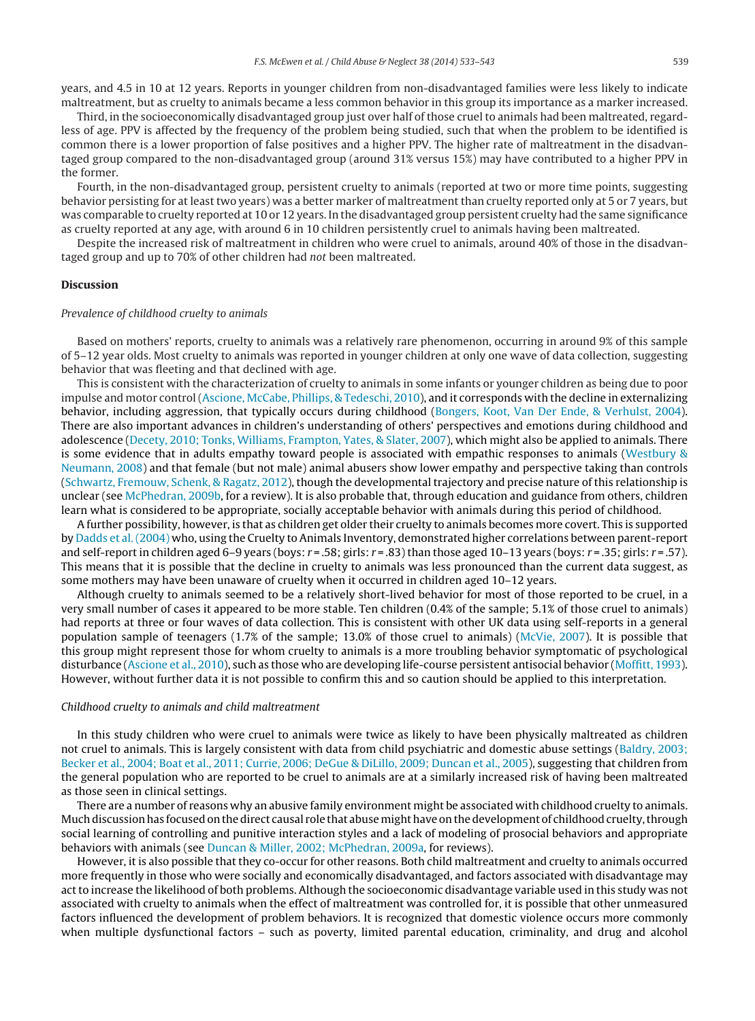years, and 4.5 in 10 at 12 years. Reports in younger children from non-disadvantaged families were less likely to indicate maltreatment, but as cruelty to animals became a less common behavior in this group its importance as a marker increased.

Third, in the socioeconomically disadvantaged group just over half of those cruel to animals had been maltreated, regardless of age. PPV is affected by the frequency of the problem being studied, such that when the problem to be identified is common there is a lower proportion of false positives and a higher PPV. The higher rate of maltreatment in the disadvantaged group compared to the non-disadvantaged group (around 31% versus 15%) may have contributed to a higher PPV in the former.

Fourth, in the non-disadvantaged group, persistent cruelty to animals (reported at two or more time points, suggesting behavior persisting for at least two years) was a better marker of maltreatment than cruelty reported only at 5 or 7 years, but was comparable to cruelty reported at 10 or 12 years. In the disadvantaged group persistent cruelty had the same significance as cruelty reported at any age, with around 6 in 10 children persistently cruel to animals having been maltreated.

Despite the increased risk of maltreatment in children who were cruel to animals, around 40% of those in the disadvantaged group and up to 70% of other children had not been maltreated.

#### **Discussion**

#### Prevalence of childhood cruelty to animals

Based on mothers' reports, cruelty to animals was a relatively rare phenomenon, occurring in around 9% of this sample of 5–12 year olds. Most cruelty to animals was reported in younger children at only one wave of data collection, suggesting behavior that was fleeting and that declined with age.

This is consistent with the characterization of cruelty to animals in some infants or younger children as being due to poor impulse and motor control ([Ascione, McCabe, Phillips, & Tedeschi, 2010\),](#page-9-0) and it corresponds with the decline in externalizing behavior, including aggression, that typically occurs during childhood [\(Bongers, Koot, Van Der Ende, & Verhulst, 2004\).](#page-9-0) There are also important advances in children's understanding of others' perspectives and emotions during childhood and adolescence ([Decety, 2010; Tonks, Williams, Frampton, Yates, & Slater, 2007\),](#page-9-0) which might also be applied to animals. There is some evidence that in adults empathy toward people is associated with empathic responses to animals ([Westbury &](#page-10-0) [Neumann, 2008\) a](#page-10-0)nd that female (but not male) animal abusers show lower empathy and perspective taking than controls [\(Schwartz, Fremouw, Schenk, & Ragatz, 2012\),](#page-10-0) though the developmental trajectory and precise nature of this relationship is unclear (see [McPhedran, 2009b, f](#page-9-0)or a review). It is also probable that, through education and guidance from others, children learn what is considered to be appropriate, socially acceptable behavior with animals during this period of childhood.

A further possibility, however, is that as children get older their cruelty to animals becomes more covert. This is supported by [Dadds et al. \(2004\)](#page-9-0) who, using the Cruelty to Animals Inventory, demonstrated higher correlations between parent-report and self-report in children aged 6–9 years (boys:  $r = .58$ ; girls:  $r = .83$ ) than those aged 10–13 years (boys:  $r = .35$ ; girls:  $r = .57$ ). This means that it is possible that the decline in cruelty to animals was less pronounced than the current data suggest, as some mothers may have been unaware of cruelty when it occurred in children aged 10–12 years.

Although cruelty to animals seemed to be a relatively short-lived behavior for most of those reported to be cruel, in a very small number of cases it appeared to be more stable. Ten children (0.4% of the sample; 5.1% of those cruel to animals) had reports at three or four waves of data collection. This is consistent with other UK data using self-reports in a general population sample of teenagers (1.7% of the sample; 13.0% of those cruel to animals) [\(McVie, 2007\).](#page-9-0) It is possible that this group might represent those for whom cruelty to animals is a more troubling behavior symptomatic of psychological disturbance ([Ascione et al., 2010\),](#page-9-0) such as those who are developing life-course persistent antisocial behavior [\(Moffitt, 1993\).](#page-9-0) However, without further data it is not possible to confirm this and so caution should be applied to this interpretation.

#### Childhood cruelty to animals and child maltreatment

In this study children who were cruel to animals were twice as likely to have been physically maltreated as children not cruel to animals. This is largely consistent with data from child psychiatric and domestic abuse settings [\(Baldry, 2003;](#page-9-0) [Becker et al., 2004; Boat et al., 2011; Currie, 2006; DeGue & DiLillo, 2009; Duncan et al., 2005\),](#page-9-0) suggesting that children from the general population who are reported to be cruel to animals are at a similarly increased risk of having been maltreated as those seen in clinical settings.

There are a number of reasons why an abusive family environment might be associated with childhood cruelty to animals. Much discussion has focused on the direct causal role that abusemight have on the development of childhood cruelty, through social learning of controlling and punitive interaction styles and a lack of modeling of prosocial behaviors and appropriate behaviors with animals (see [Duncan & Miller, 2002; McPhedran, 2009a, f](#page-9-0)or reviews).

However, it is also possible that they co-occur for other reasons. Both child maltreatment and cruelty to animals occurred more frequently in those who were socially and economically disadvantaged, and factors associated with disadvantage may act to increase the likelihood of both problems. Although the socioeconomic disadvantage variable used in this study was not associated with cruelty to animals when the effect of maltreatment was controlled for, it is possible that other unmeasured factors influenced the development of problem behaviors. It is recognized that domestic violence occurs more commonly when multiple dysfunctional factors – such as poverty, limited parental education, criminality, and drug and alcohol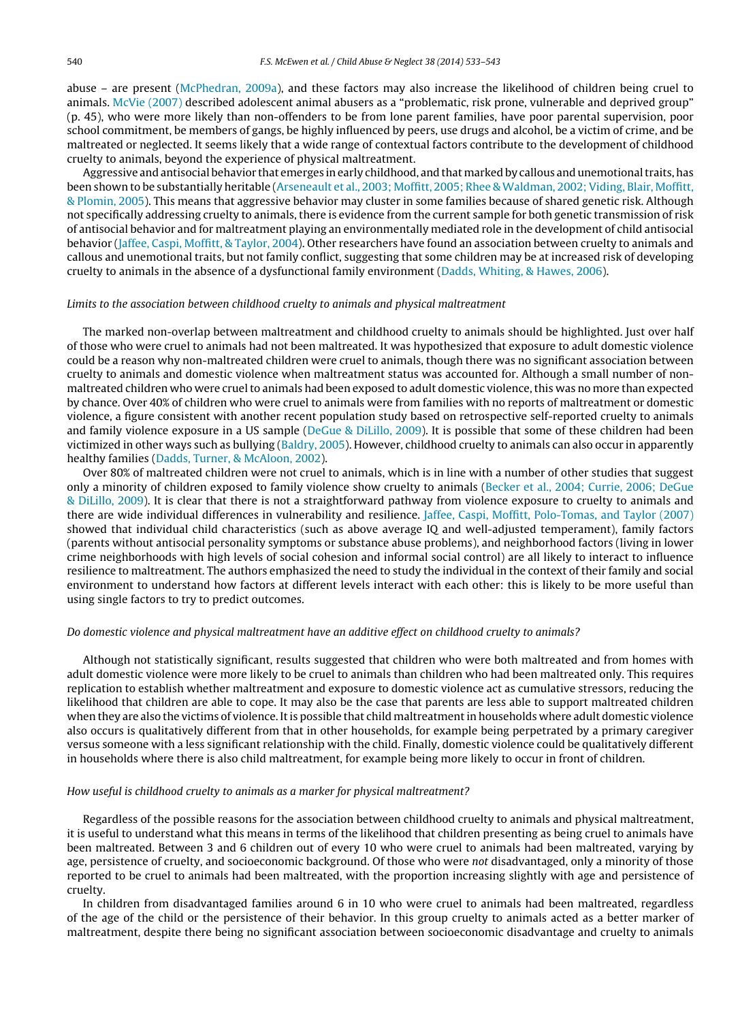abuse – are present [\(McPhedran, 2009a\),](#page-9-0) and these factors may also increase the likelihood of children being cruel to animals. [McVie \(2007\)](#page-9-0) described adolescent animal abusers as a "problematic, risk prone, vulnerable and deprived group" (p. 45), who were more likely than non-offenders to be from lone parent families, have poor parental supervision, poor school commitment, be members of gangs, be highly influenced by peers, use drugs and alcohol, be a victim of crime, and be maltreated or neglected. It seems likely that a wide range of contextual factors contribute to the development of childhood cruelty to animals, beyond the experience of physical maltreatment.

Aggressive and antisocial behavior that emerges in early childhood, and thatmarked by callous and unemotional traits, has been shown to be substantially heritable [\(Arseneault et al., 2003; Moffitt, 2005; Rhee & Waldman, 2002; Viding, Blair, Moffitt,](#page-9-0) [& Plomin, 2005\).](#page-9-0) This means that aggressive behavior may cluster in some families because of shared genetic risk. Although not specifically addressing cruelty to animals, there is evidence from the current sample for both genetic transmission of risk of antisocial behavior and for maltreatment playing an environmentally mediated role in the development of child antisocial behavior ([Jaffee, Caspi, Moffitt, & Taylor, 2004\).](#page-9-0) Other researchers have found an association between cruelty to animals and callous and unemotional traits, but not family conflict, suggesting that some children may be at increased risk of developing cruelty to animals in the absence of a dysfunctional family environment ([Dadds, Whiting, & Hawes, 2006\).](#page-9-0)

#### Limits to the association between childhood cruelty to animals and physical maltreatment

The marked non-overlap between maltreatment and childhood cruelty to animals should be highlighted. Just over half of those who were cruel to animals had not been maltreated. It was hypothesized that exposure to adult domestic violence could be a reason why non-maltreated children were cruel to animals, though there was no significant association between cruelty to animals and domestic violence when maltreatment status was accounted for. Although a small number of nonmaltreated children who were cruel to animals had been exposed to adult domestic violence, this was no more than expected by chance. Over 40% of children who were cruel to animals were from families with no reports of maltreatment or domestic violence, a figure consistent with another recent population study based on retrospective self-reported cruelty to animals and family violence exposure in a US sample [\(DeGue & DiLillo, 2009\).](#page-9-0) It is possible that some of these children had been victimized in other ways such as bullying ([Baldry, 2005\).](#page-9-0) However, childhood cruelty to animals can also occur in apparently healthy families ([Dadds, Turner, & McAloon, 2002\).](#page-9-0)

Over 80% of maltreated children were not cruel to animals, which is in line with a number of other studies that suggest only a minority of children exposed to family violence show cruelty to animals ([Becker et al., 2004; Currie, 2006; DeGue](#page-9-0) [& DiLillo, 2009\).](#page-9-0) It is clear that there is not a straightforward pathway from violence exposure to cruelty to animals and there are wide individual differences in vulnerability and resilience. [Jaffee, Caspi, Moffitt, Polo-Tomas, and Taylor \(2007\)](#page-9-0) showed that individual child characteristics (such as above average IQ and well-adjusted temperament), family factors (parents without antisocial personality symptoms or substance abuse problems), and neighborhood factors (living in lower crime neighborhoods with high levels of social cohesion and informal social control) are all likely to interact to influence resilience to maltreatment. The authors emphasized the need to study the individual in the context of their family and social environment to understand how factors at different levels interact with each other: this is likely to be more useful than using single factors to try to predict outcomes.

#### Do domestic violence and physical maltreatment have an additive effect on childhood cruelty to animals?

Although not statistically significant, results suggested that children who were both maltreated and from homes with adult domestic violence were more likely to be cruel to animals than children who had been maltreated only. This requires replication to establish whether maltreatment and exposure to domestic violence act as cumulative stressors, reducing the likelihood that children are able to cope. It may also be the case that parents are less able to support maltreated children when they are also the victims of violence. It is possible that child maltreatment in households where adult domestic violence also occurs is qualitatively different from that in other households, for example being perpetrated by a primary caregiver versus someone with a less significant relationship with the child. Finally, domestic violence could be qualitatively different in households where there is also child maltreatment, for example being more likely to occur in front of children.

#### How useful is childhood cruelty to animals as a marker for physical maltreatment?

Regardless of the possible reasons for the association between childhood cruelty to animals and physical maltreatment, it is useful to understand what this means in terms of the likelihood that children presenting as being cruel to animals have been maltreated. Between 3 and 6 children out of every 10 who were cruel to animals had been maltreated, varying by age, persistence of cruelty, and socioeconomic background. Of those who were not disadvantaged, only a minority of those reported to be cruel to animals had been maltreated, with the proportion increasing slightly with age and persistence of cruelty.

In children from disadvantaged families around 6 in 10 who were cruel to animals had been maltreated, regardless of the age of the child or the persistence of their behavior. In this group cruelty to animals acted as a better marker of maltreatment, despite there being no significant association between socioeconomic disadvantage and cruelty to animals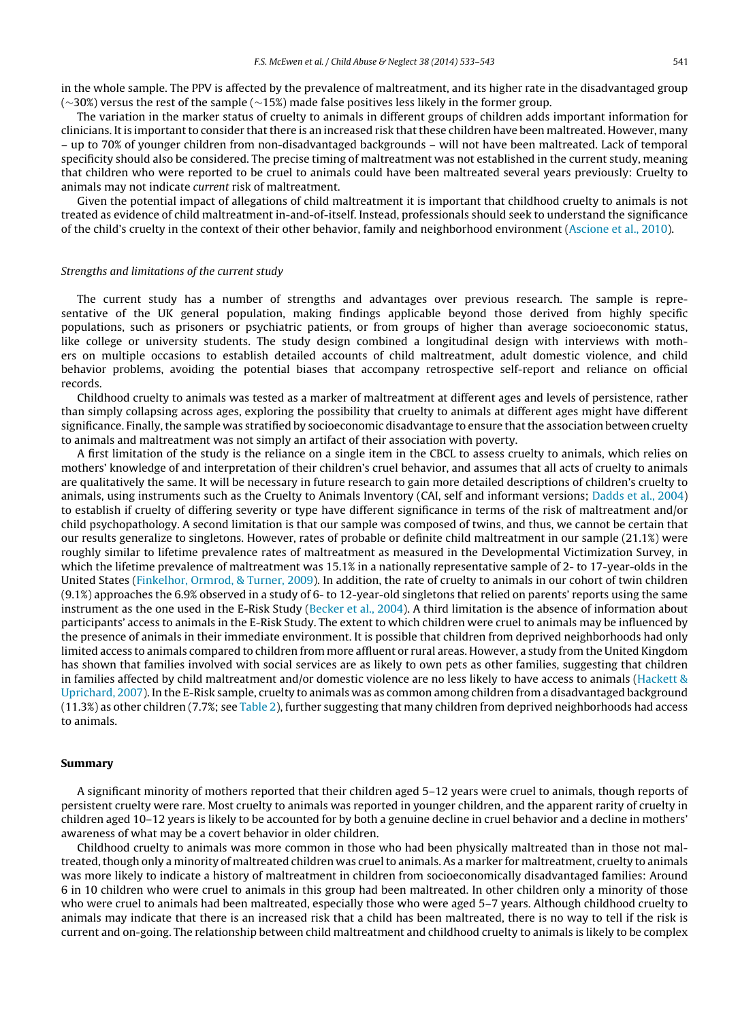in the whole sample. The PPV is affected by the prevalence of maltreatment, and its higher rate in the disadvantaged group (∼30%) versus the rest of the sample (∼15%) made false positives less likely in the former group.

The variation in the marker status of cruelty to animals in different groups of children adds important information for clinicians. It is important to consider that there is an increased risk that these children have been maltreated. However, many – up to 70% of younger children from non-disadvantaged backgrounds – will not have been maltreated. Lack of temporal specificity should also be considered. The precise timing of maltreatment was not established in the current study, meaning that children who were reported to be cruel to animals could have been maltreated several years previously: Cruelty to animals may not indicate current risk of maltreatment.

Given the potential impact of allegations of child maltreatment it is important that childhood cruelty to animals is not treated as evidence of child maltreatment in-and-of-itself. Instead, professionals should seek to understand the significance of the child's cruelty in the context of their other behavior, family and neighborhood environment ([Ascione et al., 2010\).](#page-9-0)

#### Strengths and limitations of the current study

The current study has a number of strengths and advantages over previous research. The sample is representative of the UK general population, making findings applicable beyond those derived from highly specific populations, such as prisoners or psychiatric patients, or from groups of higher than average socioeconomic status, like college or university students. The study design combined a longitudinal design with interviews with mothers on multiple occasions to establish detailed accounts of child maltreatment, adult domestic violence, and child behavior problems, avoiding the potential biases that accompany retrospective self-report and reliance on official records.

Childhood cruelty to animals was tested as a marker of maltreatment at different ages and levels of persistence, rather than simply collapsing across ages, exploring the possibility that cruelty to animals at different ages might have different significance. Finally, the sample was stratified by socioeconomic disadvantage to ensure that the association between cruelty to animals and maltreatment was not simply an artifact of their association with poverty.

A first limitation of the study is the reliance on a single item in the CBCL to assess cruelty to animals, which relies on mothers' knowledge of and interpretation of their children's cruel behavior, and assumes that all acts of cruelty to animals are qualitatively the same. It will be necessary in future research to gain more detailed descriptions of children's cruelty to animals, using instruments such as the Cruelty to Animals Inventory (CAI, self and informant versions; [Dadds et al., 2004\)](#page-9-0) to establish if cruelty of differing severity or type have different significance in terms of the risk of maltreatment and/or child psychopathology. A second limitation is that our sample was composed of twins, and thus, we cannot be certain that our results generalize to singletons. However, rates of probable or definite child maltreatment in our sample (21.1%) were roughly similar to lifetime prevalence rates of maltreatment as measured in the Developmental Victimization Survey, in which the lifetime prevalence of maltreatment was 15.1% in a nationally representative sample of 2- to 17-year-olds in the United States [\(Finkelhor, Ormrod, & Turner, 2009\).](#page-9-0) In addition, the rate of cruelty to animals in our cohort of twin children (9.1%) approaches the 6.9% observed in a study of 6- to 12-year-old singletons that relied on parents' reports using the same instrument as the one used in the E-Risk Study ([Becker et al., 2004\).](#page-9-0) A third limitation is the absence of information about participants' access to animals in the E-Risk Study. The extent to which children were cruel to animals may be influenced by the presence of animals in their immediate environment. It is possible that children from deprived neighborhoods had only limited access to animals compared to children from more affluent or rural areas. However, a study from the United Kingdom has shown that families involved with social services are as likely to own pets as other families, suggesting that children in families affected by child maltreatment and/or domestic violence are no less likely to have access to animals ([Hackett &](#page-9-0) [Uprichard, 2007\).](#page-9-0) In the E-Risk sample, cruelty to animals was as common among children from a disadvantaged background (11.3%) as other children (7.7%; see [Table 2\),](#page-5-0) further suggesting that many children from deprived neighborhoods had access to animals.

#### **Summary**

A significant minority of mothers reported that their children aged 5–12 years were cruel to animals, though reports of persistent cruelty were rare. Most cruelty to animals was reported in younger children, and the apparent rarity of cruelty in children aged 10–12 years is likely to be accounted for by both a genuine decline in cruel behavior and a decline in mothers' awareness of what may be a covert behavior in older children.

Childhood cruelty to animals was more common in those who had been physically maltreated than in those not maltreated, though only a minority of maltreated children was cruel to animals. As a marker for maltreatment, cruelty to animals was more likely to indicate a history of maltreatment in children from socioeconomically disadvantaged families: Around 6 in 10 children who were cruel to animals in this group had been maltreated. In other children only a minority of those who were cruel to animals had been maltreated, especially those who were aged 5–7 years. Although childhood cruelty to animals may indicate that there is an increased risk that a child has been maltreated, there is no way to tell if the risk is current and on-going. The relationship between child maltreatment and childhood cruelty to animals is likely to be complex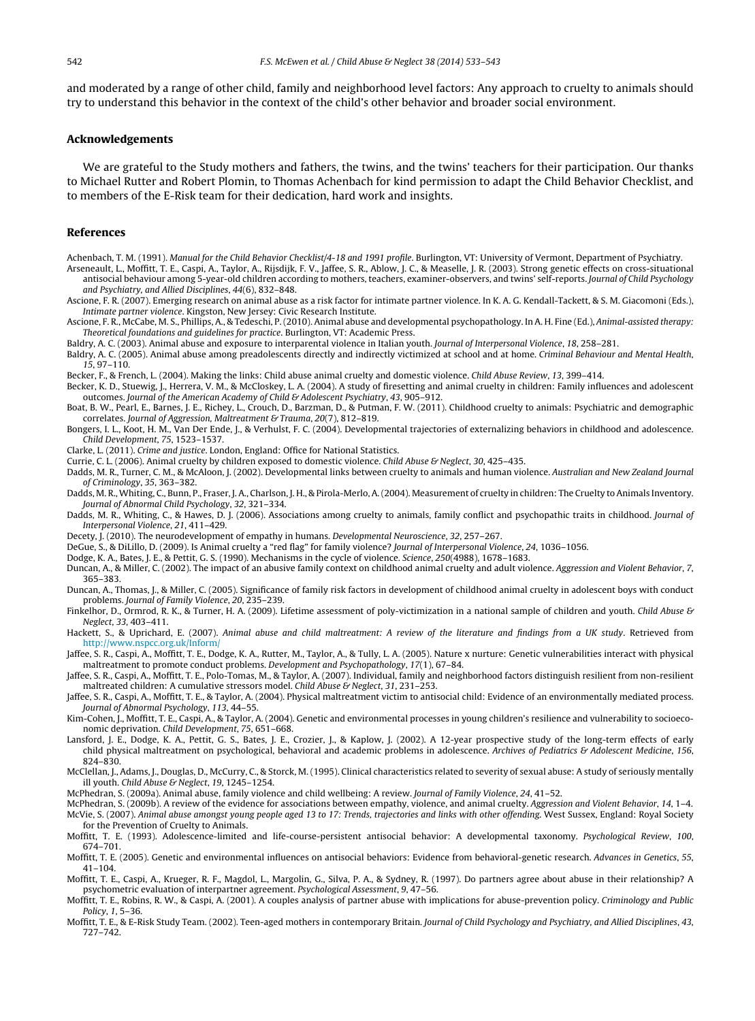<span id="page-9-0"></span>and moderated by a range of other child, family and neighborhood level factors: Any approach to cruelty to animals should try to understand this behavior in the context of the child's other behavior and broader social environment.

#### **Acknowledgements**

We are grateful to the Study mothers and fathers, the twins, and the twins' teachers for their participation. Our thanks to Michael Rutter and Robert Plomin, to Thomas Achenbach for kind permission to adapt the Child Behavior Checklist, and to members of the E-Risk team for their dedication, hard work and insights.

## **References**

- Achenbach, T. M. (1991). Manual for the Child Behavior Checklist/4-18 and 1991 profile. Burlington, VT: University of Vermont, Department of Psychiatry. Arseneault, L., Moffitt, T. E., Caspi, A., Taylor, A., Rijsdijk, F. V., Jaffee, S. R., Ablow, J. C., & Measelle, J. R. (2003). Strong genetic effects on cross-situational antisocial behaviour among 5-year-old children according to mothers, teachers, examiner-observers, and twins' self-reports. Journal of Child Psychology and Psychiatry, and Allied Disciplines, 44(6), 832–848.
- Ascione, F. R. (2007). Emerging research on animal abuse as a risk factor for intimate partner violence. In K. A. G. Kendall-Tackett, & S. M. Giacomoni (Eds.), Intimate partner violence. Kingston, New Jersey: Civic Research Institute.
- Ascione, F. R., McCabe, M. S., Phillips, A., & Tedeschi, P. (2010). Animal abuse and developmental psychopathology. In A. H. Fine (Ed.), Animal-assisted therapy: Theoretical foundations and guidelines for practice. Burlington, VT: Academic Press.
- Baldry, A. C. (2003). Animal abuse and exposure to interparental violence in Italian youth. Journal of Interpersonal Violence, 18, 258–281.
- Baldry, A. C. (2005). Animal abuse among preadolescents directly and indirectly victimized at school and at home. Criminal Behaviour and Mental Health, 15, 97–110.
- Becker, F., & French, L. (2004). Making the links: Child abuse animal cruelty and domestic violence. Child Abuse Review, 13, 399–414.
- Becker, K. D., Stuewig, J., Herrera, V. M., & McCloskey, L. A. (2004). A study of firesetting and animal cruelty in children: Family influences and adolescent outcomes. Journal of the American Academy of Child & Adolescent Psychiatry, 43, 905-912.
- Boat, B. W., Pearl, E., Barnes, J. E., Richey, L., Crouch, D., Barzman, D., & Putman, F. W. (2011). Childhood cruelty to animals: Psychiatric and demographic correlates. Journal of Aggression, Maltreatment & Trauma, 20(7), 812–819.
- Bongers, I. L., Koot, H. M., Van Der Ende, J., & Verhulst, F. C. (2004). Developmental trajectories of externalizing behaviors in childhood and adolescence. Child Development, 75, 1523–1537.
- Clarke, L. (2011). Crime and justice. London, England: Office for National Statistics.
- Currie, C. L. (2006). Animal cruelty by children exposed to domestic violence. Child Abuse & Neglect, 30, 425-435.
- Dadds, M. R., Turner, C. M., & McAloon, J. (2002). Developmental links between cruelty to animals and human violence. Australian and New Zealand Journal of Criminology, 35, 363–382.
- Dadds, M. R.,Whiting, C., Bunn, P., Fraser, J. A., Charlson, J. H., & Pirola-Merlo, A. (2004). Measurement of cruelty in children: The Cruelty to Animals Inventory. Journal of Abnormal Child Psychology, 32, 321–334.
- Dadds, M. R., Whiting, C., & Hawes, D. J. (2006). Associations among cruelty to animals, family conflict and psychopathic traits in childhood. Journal of Interpersonal Violence, 21, 411–429.
- Decety, J. (2010). The neurodevelopment of empathy in humans. Developmental Neuroscience, 32, 257–267.
- DeGue, S., & DiLillo, D. (2009). Is Animal cruelty a "red flag" for family violence? Journal of Interpersonal Violence, 24, 1036–1056.
- Dodge, K. A., Bates, J. E., & Pettit, G. S. (1990). Mechanisms in the cycle of violence. Science, 250(4988), 1678–1683.
- Duncan, A., & Miller, C. (2002). The impact of an abusive family context on childhood animal cruelty and adult violence. Aggression and Violent Behavior, 7, 365–383.
- Duncan, A., Thomas, J., & Miller, C. (2005). Significance of family risk factors in development of childhood animal cruelty in adolescent boys with conduct problems. Journal of Family Violence, 20, 235–239.
- Finkelhor, D., Ormrod, R. K., & Turner, H. A. (2009). Lifetime assessment of poly-victimization in a national sample of children and youth. Child Abuse & Neglect, 33, 403–411.
- Hackett, S., & Uprichard, E. (2007). Animal abuse and child maltreatment: A review of the literature and findings from a UK study. Retrieved from <http://www.nspcc.org.uk/Inform/>
- Jaffee, S. R., Caspi, A., Moffitt, T. E., Dodge, K. A., Rutter, M., Taylor, A., & Tully, L. A. (2005). Nature x nurture: Genetic vulnerabilities interact with physical maltreatment to promote conduct problems. Development and Psychopathology, 17(1), 67–84.
- Jaffee, S. R., Caspi, A., Moffitt, T. E., Polo-Tomas, M., & Taylor, A. (2007). Individual, family and neighborhood factors distinguish resilient from non-resilient maltreated children: A cumulative stressors model. Child Abuse & Neglect, 31, 231-253.
- Jaffee, S. R., Caspi, A., Moffitt, T. E., & Taylor, A. (2004). Physical maltreatment victim to antisocial child: Evidence of an environmentally mediated process. Journal of Abnormal Psychology, 113, 44–55.
- Kim-Cohen, J., Moffitt, T. E., Caspi, A., & Taylor, A. (2004). Genetic and environmental processes in young children's resilience and vulnerability to socioeconomic deprivation. Child Development, 75, 651–668.
- Lansford, J. E., Dodge, K. A., Pettit, G. S., Bates, J. E., Crozier, J., & Kaplow, J. (2002). A 12-year prospective study of the long-term effects of early child physical maltreatment on psychological, behavioral and academic problems in adolescence. Archives of Pediatrics & Adolescent Medicine, 156, 824–830.
- McClellan, J., Adams, J., Douglas, D., McCurry, C., & Storck, M. (1995). Clinical characteristics related to severity of sexual abuse: A study of seriously mentally ill youth. Child Abuse & Neglect, 19, 1245-1254.
- McPhedran, S. (2009a). Animal abuse, family violence and child wellbeing: A review. Journal of Family Violence, 24, 41–52.
- McPhedran, S. (2009b). A review of the evidence for associations between empathy, violence, and animal cruelty. Aggression and Violent Behavior, 14, 1–4. McVie, S. (2007). Animal abuse amongst young people aged 13 to 17: Trends, trajectories and links with other offending. West Sussex, England: Royal Society
- for the Prevention of Cruelty to Animals. Moffitt, T. E. (1993). Adolescence-limited and life-course-persistent antisocial behavior: A developmental taxonomy. Psychological Review, 100,
- 674–701.
- Moffitt, T. E. (2005). Genetic and environmental influences on antisocial behaviors: Evidence from behavioral-genetic research. Advances in Genetics, 55, 41–104.
- Moffitt, T. E., Caspi, A., Krueger, R. F., Magdol, L., Margolin, G., Silva, P. A., & Sydney, R. (1997). Do partners agree about abuse in their relationship? A psychometric evaluation of interpartner agreement. Psychological Assessment, 9, 47–56.
- Moffitt, T. E., Robins, R. W., & Caspi, A. (2001). A couples analysis of partner abuse with implications for abuse-prevention policy. Criminology and Public Policy, 1, 5–36.
- Moffitt, T. E., & E-Risk Study Team. (2002). Teen-aged mothers in contemporary Britain. Journal of Child Psychology and Psychiatry, and Allied Disciplines, 43, 727–742.